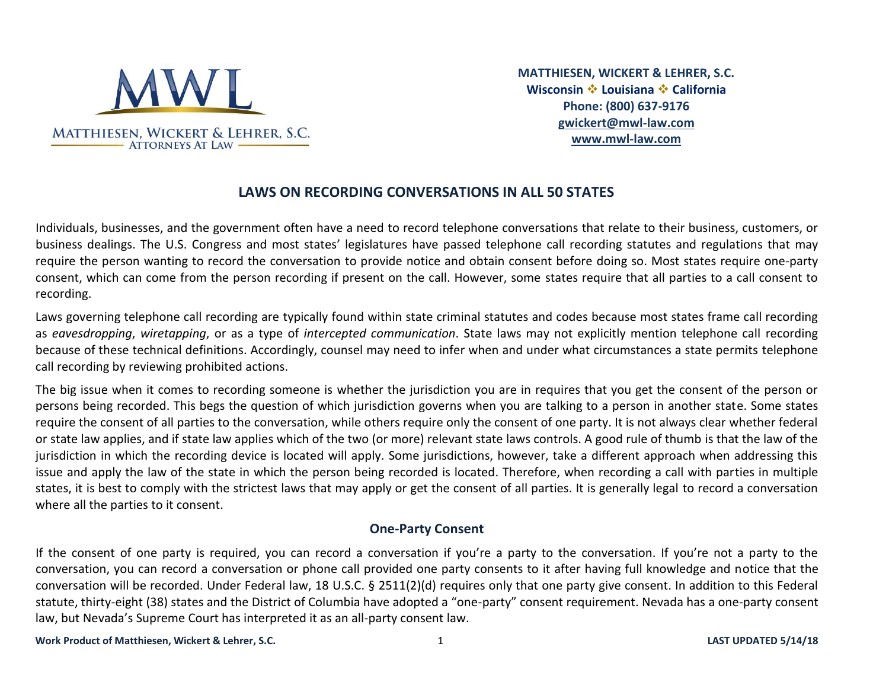

**MATTHIESEN, WICKERT & LEHRER, S.C. Wisconsin** ❖ **Louisiana** ❖ **California Phone: (800) 637-9176 [gwickert@mwl-law.com](mailto:gwickert@mwl-law.com)  [www.mwl-law.com](http://www.mwl-law.com/)**

# **LAWS ON RECORDING CONVERSATIONS IN ALL 50 STATES**

Individuals, businesses, and the government often have a need to record telephone conversations that relate to their business, customers, or business dealings. The U.S. Congress and most states' legislatures have passed telephone call recording statutes and regulations that may require the person wanting to record the conversation to provide notice and obtain consent before doing so. Most states require one-party consent, which can come from the person recording if present on the call. However, some states require that all parties to a call consent to recording.

Laws governing telephone call recording are typically found within state criminal statutes and codes because most states frame call recording as *eavesdropping*, *wiretapping*, or as a type of *intercepted communication*. State laws may not explicitly mention telephone call recording because of these technical definitions. Accordingly, counsel may need to infer when and under what circumstances a state permits telephone call recording by reviewing prohibited actions.

The big issue when it comes to recording someone is whether the jurisdiction you are in requires that you get the consent of the person or persons being recorded. This begs the question of which jurisdiction governs when you are talking to a person in another state. Some states require the consent of all parties to the conversation, while others require only the consent of one party. It is not always clear whether federal or state law applies, and if state law applies which of the two (or more) relevant state laws controls. A good rule of thumb is that the law of the jurisdiction in which the recording device is located will apply. Some jurisdictions, however, take a different approach when addressing this issue and apply the law of the state in which the person being recorded is located. Therefore, when recording a call with parties in multiple states, it is best to comply with the strictest laws that may apply or get the consent of all parties. It is generally legal to record a conversation where all the parties to it consent.

#### **One-Party Consent**

If the consent of one party is required, you can record a conversation if you're a party to the conversation. If you're not a party to the conversation, you can record a conversation or phone call provided one party consents to it after having full knowledge and notice that the conversation will be recorded. Under Federal law, 18 U.S.C. § 2511(2)(d) requires only that one party give consent. In addition to this Federal statute, thirty-eight (38) states and the District of Columbia have adopted a "one-party" consent requirement. Nevada has a one-party consent law, but Nevada's Supreme Court has interpreted it as an all-party consent law.

**Work Product of Matthiesen, Wickert & Lehrer, S.C.** 1 **LAST UPDATED 5/14/18**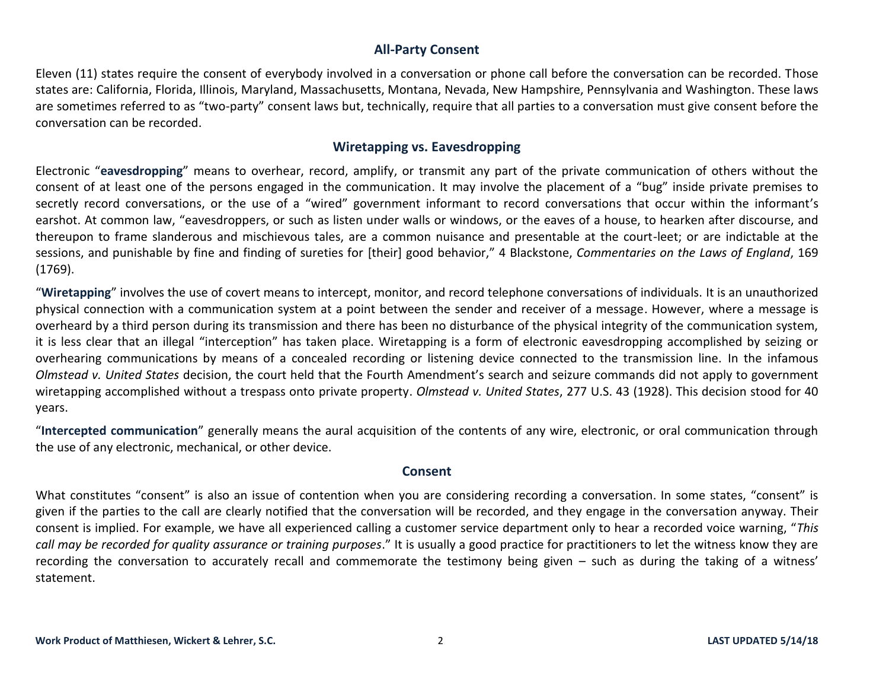## **All-Party Consent**

Eleven (11) states require the consent of everybody involved in a conversation or phone call before the conversation can be recorded. Those states are: California, Florida, Illinois, Maryland, Massachusetts, Montana, Nevada, New Hampshire, Pennsylvania and Washington. These laws are sometimes referred to as "two-party" consent laws but, technically, require that all parties to a conversation must give consent before the conversation can be recorded.

## **Wiretapping vs. Eavesdropping**

Electronic "**eavesdropping**" means to overhear, record, amplify, or transmit any part of the private communication of others without the consent of at least one of the persons engaged in the communication. It may involve the placement of a "bug" inside private premises to secretly record conversations, or the use of a "wired" government informant to record conversations that occur within the informant's earshot. At common law, "eavesdroppers, or such as listen under walls or windows, or the eaves of a house, to hearken after discourse, and thereupon to frame slanderous and mischievous tales, are a common nuisance and presentable at the court-leet; or are indictable at the sessions, and punishable by fine and finding of sureties for [their] good behavior," 4 Blackstone, *Commentaries on the Laws of England*, 169 (1769).

"**Wiretapping**" involves the use of covert means to intercept, monitor, and record telephone conversations of individuals. It is an unauthorized physical connection with a communication system at a point between the sender and receiver of a message. However, where a message is overheard by a third person during its transmission and there has been no disturbance of the physical integrity of the communication system, it is less clear that an illegal "interception" has taken place. Wiretapping is a form of electronic eavesdropping accomplished by seizing or overhearing communications by means of a concealed recording or listening device connected to the transmission line. In the infamous *Olmstead v. United States* decision, the court held that the Fourth Amendment's search and seizure commands did not apply to government wiretapping accomplished without a trespass onto private property. *Olmstead v. United States*, 277 U.S. 43 (1928). This decision stood for 40 years.

"**Intercepted communication**" generally means the aural acquisition of the contents of any wire, electronic, or oral communication through the use of any electronic, mechanical, or other device.

### **Consent**

What constitutes "consent" is also an issue of contention when you are considering recording a conversation. In some states, "consent" is given if the parties to the call are clearly notified that the conversation will be recorded, and they engage in the conversation anyway. Their consent is implied. For example, we have all experienced calling a customer service department only to hear a recorded voice warning, "*This call may be recorded for quality assurance or training purposes*." It is usually a good practice for practitioners to let the witness know they are recording the conversation to accurately recall and commemorate the testimony being given – such as during the taking of a witness' statement.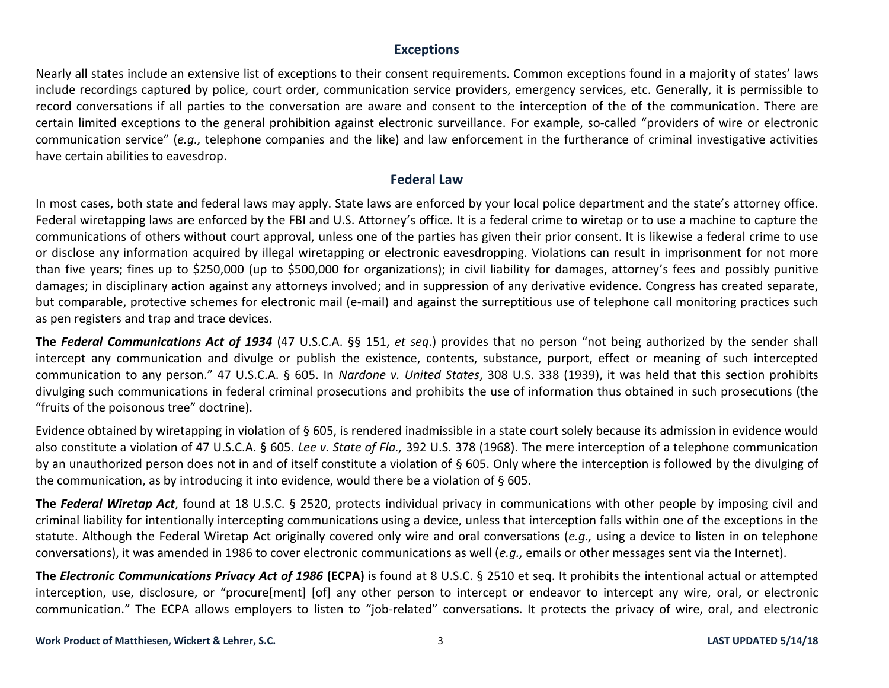### **Exceptions**

Nearly all states include an extensive list of exceptions to their consent requirements. Common exceptions found in a majority of states' laws include recordings captured by police, court order, communication service providers, emergency services, etc. Generally, it is permissible to record conversations if all parties to the conversation are aware and consent to the interception of the of the communication. There are certain limited exceptions to the general prohibition against electronic surveillance. For example, so-called "providers of wire or electronic communication service" (*e.g.,* telephone companies and the like) and law enforcement in the furtherance of criminal investigative activities have certain abilities to eavesdrop.

#### **Federal Law**

In most cases, both state and federal laws may apply. State laws are enforced by your local police department and the state's attorney office. Federal wiretapping laws are enforced by the FBI and U.S. Attorney's office. It is a federal crime to wiretap or to use a machine to capture the communications of others without court approval, unless one of the parties has given their prior consent. It is likewise a federal crime to use or disclose any information acquired by illegal wiretapping or electronic eavesdropping. Violations can result in imprisonment for not more than five years; fines up to \$250,000 (up to \$500,000 for organizations); in civil liability for damages, attorney's fees and possibly punitive damages; in disciplinary action against any attorneys involved; and in suppression of any derivative evidence. Congress has created separate, but comparable, protective schemes for electronic mail (e-mail) and against the surreptitious use of telephone call monitoring practices such as pen registers and trap and trace devices.

**The** *Federal Communications Act of 1934* (47 U.S.C.A. §§ 151, *et seq*.) provides that no person "not being authorized by the sender shall intercept any communication and divulge or publish the existence, contents, substance, purport, effect or meaning of such intercepted communication to any person." 47 U.S.C.A. § 605. In *Nardone v. United States*, 308 U.S. 338 (1939), it was held that this section prohibits divulging such communications in federal criminal prosecutions and prohibits the use of information thus obtained in such prosecutions (the "fruits of the poisonous tree" doctrine).

Evidence obtained by wiretapping in violation of § 605, is rendered inadmissible in a state court solely because its admission in evidence would also constitute a violation of 47 U.S.C.A. § 605. *Lee v. State of Fla.,* 392 U.S. 378 (1968). The mere interception of a telephone communication by an unauthorized person does not in and of itself constitute a violation of § 605. Only where the interception is followed by the divulging of the communication, as by introducing it into evidence, would there be a violation of § 605.

**The** *Federal Wiretap Act*, found at 18 U.S.C. § 2520, protects individual privacy in communications with other people by imposing civil and criminal liability for intentionally intercepting communications using a device, unless that interception falls within one of the exceptions in the statute. Although the Federal Wiretap Act originally covered only wire and oral conversations (*e.g.,* using a device to listen in on telephone conversations), it was amended in 1986 to cover electronic communications as well (*e.g.,* emails or other messages sent via the Internet).

**The** *Electronic Communications Privacy Act of 1986* **(ECPA)** is found at 8 U.S.C. § 2510 et seq. It prohibits the intentional actual or attempted interception, use, disclosure, or "procure[ment] [of] any other person to intercept or endeavor to intercept any wire, oral, or electronic communication." The ECPA allows employers to listen to "job-related" conversations. It protects the privacy of wire, oral, and electronic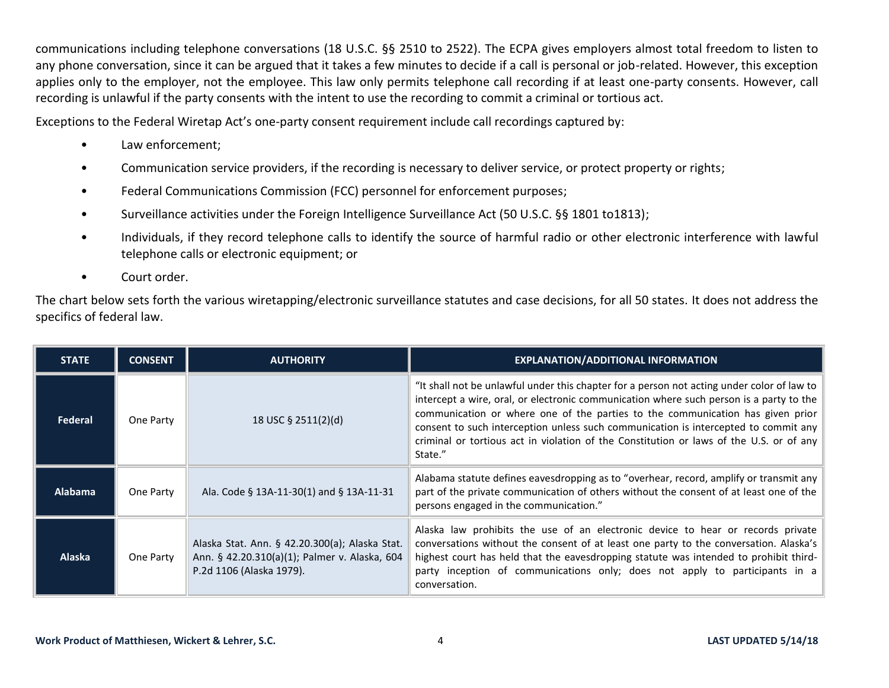communications including telephone conversations (18 U.S.C. §§ 2510 to 2522). The ECPA gives employers almost total freedom to listen to any phone conversation, since it can be argued that it takes a few minutes to decide if a call is personal or job-related. However, this exception applies only to the employer, not the employee. This law only permits telephone call recording if at least one-party consents. However, call recording is unlawful if the party consents with the intent to use the recording to commit a criminal or tortious act.

Exceptions to the Federal Wiretap Act's one-party consent requirement include call recordings captured by:

- Law enforcement;
- Communication service providers, if the recording is necessary to deliver service, or protect property or rights;
- Federal Communications Commission (FCC) personnel for enforcement purposes;
- Surveillance activities under the Foreign Intelligence Surveillance Act (50 U.S.C. §§ 1801 to1813);
- Individuals, if they record telephone calls to identify the source of harmful radio or other electronic interference with lawful telephone calls or electronic equipment; or
- Court order.

The chart below sets forth the various wiretapping/electronic surveillance statutes and case decisions, for all 50 states. It does not address the specifics of federal law.

| <b>STATE</b>  | <b>CONSENT</b> | <b>AUTHORITY</b>                                                                                                            | <b>EXPLANATION/ADDITIONAL INFORMATION</b>                                                                                                                                                                                                                                                                                                                                                                                                                            |
|---------------|----------------|-----------------------------------------------------------------------------------------------------------------------------|----------------------------------------------------------------------------------------------------------------------------------------------------------------------------------------------------------------------------------------------------------------------------------------------------------------------------------------------------------------------------------------------------------------------------------------------------------------------|
| Federal       | One Party      | 18 USC § 2511(2)(d)                                                                                                         | "It shall not be unlawful under this chapter for a person not acting under color of law to<br>intercept a wire, oral, or electronic communication where such person is a party to the<br>communication or where one of the parties to the communication has given prior<br>consent to such interception unless such communication is intercepted to commit any<br>criminal or tortious act in violation of the Constitution or laws of the U.S. or of any<br>State." |
| Alabama       | One Party      | Ala. Code § 13A-11-30(1) and § 13A-11-31                                                                                    | Alabama statute defines eavesdropping as to "overhear, record, amplify or transmit any<br>part of the private communication of others without the consent of at least one of the<br>persons engaged in the communication."                                                                                                                                                                                                                                           |
| <b>Alaska</b> | One Party      | Alaska Stat. Ann. § 42.20.300(a); Alaska Stat.<br>Ann. § 42.20.310(a)(1); Palmer v. Alaska, 604<br>P.2d 1106 (Alaska 1979). | Alaska law prohibits the use of an electronic device to hear or records private<br>conversations without the consent of at least one party to the conversation. Alaska's<br>highest court has held that the eavesdropping statute was intended to prohibit third-<br>party inception of communications only; does not apply to participants in a<br>conversation.                                                                                                    |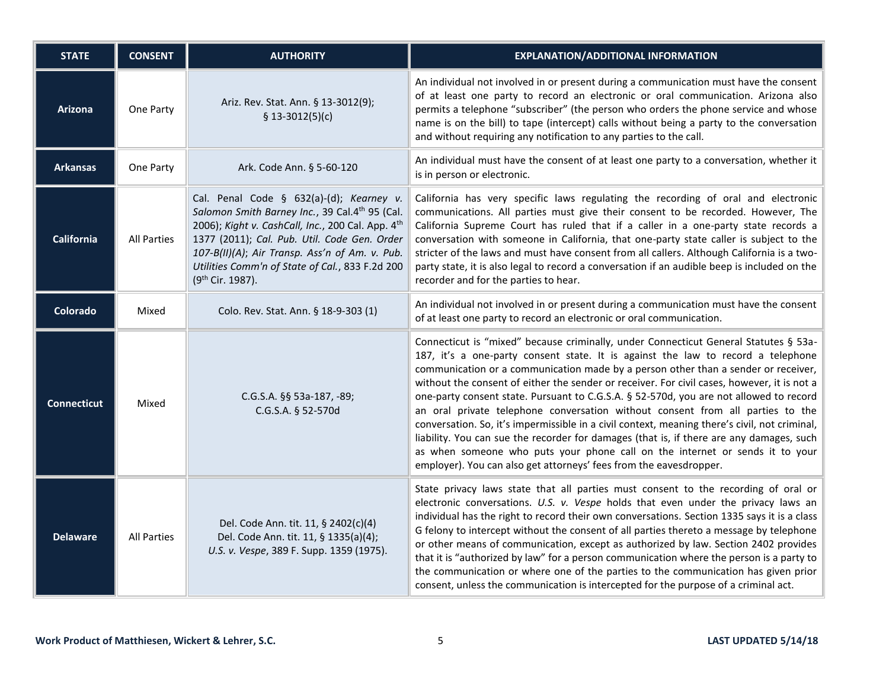| <b>STATE</b>       | <b>CONSENT</b>     | <b>AUTHORITY</b>                                                                                                                                                                                                                                                                                                                     | <b>EXPLANATION/ADDITIONAL INFORMATION</b>                                                                                                                                                                                                                                                                                                                                                                                                                                                                                                                                                                                                                                                                                                                                                                                                                                                    |
|--------------------|--------------------|--------------------------------------------------------------------------------------------------------------------------------------------------------------------------------------------------------------------------------------------------------------------------------------------------------------------------------------|----------------------------------------------------------------------------------------------------------------------------------------------------------------------------------------------------------------------------------------------------------------------------------------------------------------------------------------------------------------------------------------------------------------------------------------------------------------------------------------------------------------------------------------------------------------------------------------------------------------------------------------------------------------------------------------------------------------------------------------------------------------------------------------------------------------------------------------------------------------------------------------------|
| <b>Arizona</b>     | One Party          | Ariz. Rev. Stat. Ann. § 13-3012(9);<br>$$13-3012(5)(c)$                                                                                                                                                                                                                                                                              | An individual not involved in or present during a communication must have the consent<br>of at least one party to record an electronic or oral communication. Arizona also<br>permits a telephone "subscriber" (the person who orders the phone service and whose<br>name is on the bill) to tape (intercept) calls without being a party to the conversation<br>and without requiring any notification to any parties to the call.                                                                                                                                                                                                                                                                                                                                                                                                                                                          |
| <b>Arkansas</b>    | One Party          | Ark. Code Ann. § 5-60-120                                                                                                                                                                                                                                                                                                            | An individual must have the consent of at least one party to a conversation, whether it<br>is in person or electronic.                                                                                                                                                                                                                                                                                                                                                                                                                                                                                                                                                                                                                                                                                                                                                                       |
| <b>California</b>  | <b>All Parties</b> | Cal. Penal Code § 632(a)-(d); Kearney v.<br>Salomon Smith Barney Inc., 39 Cal.4th 95 (Cal.<br>2006); Kight v. CashCall, Inc., 200 Cal. App. 4th<br>1377 (2011); Cal. Pub. Util. Code Gen. Order<br>107-B(II)(A); Air Transp. Ass'n of Am. v. Pub.<br>Utilities Comm'n of State of Cal., 833 F.2d 200<br>(9 <sup>th</sup> Cir. 1987). | California has very specific laws regulating the recording of oral and electronic<br>communications. All parties must give their consent to be recorded. However, The<br>California Supreme Court has ruled that if a caller in a one-party state records a<br>conversation with someone in California, that one-party state caller is subject to the<br>stricter of the laws and must have consent from all callers. Although California is a two-<br>party state, it is also legal to record a conversation if an audible beep is included on the<br>recorder and for the parties to hear.                                                                                                                                                                                                                                                                                                 |
| <b>Colorado</b>    | Mixed              | Colo. Rev. Stat. Ann. § 18-9-303 (1)                                                                                                                                                                                                                                                                                                 | An individual not involved in or present during a communication must have the consent<br>of at least one party to record an electronic or oral communication.                                                                                                                                                                                                                                                                                                                                                                                                                                                                                                                                                                                                                                                                                                                                |
| <b>Connecticut</b> | Mixed              | C.G.S.A. §§ 53a-187, -89;<br>C.G.S.A. § 52-570d                                                                                                                                                                                                                                                                                      | Connecticut is "mixed" because criminally, under Connecticut General Statutes § 53a-<br>187, it's a one-party consent state. It is against the law to record a telephone<br>communication or a communication made by a person other than a sender or receiver,<br>without the consent of either the sender or receiver. For civil cases, however, it is not a<br>one-party consent state. Pursuant to C.G.S.A. § 52-570d, you are not allowed to record<br>an oral private telephone conversation without consent from all parties to the<br>conversation. So, it's impermissible in a civil context, meaning there's civil, not criminal,<br>liability. You can sue the recorder for damages (that is, if there are any damages, such<br>as when someone who puts your phone call on the internet or sends it to your<br>employer). You can also get attorneys' fees from the eavesdropper. |
| <b>Delaware</b>    | <b>All Parties</b> | Del. Code Ann. tit. 11, § 2402(c)(4)<br>Del. Code Ann. tit. 11, § 1335(a)(4);<br>U.S. v. Vespe, 389 F. Supp. 1359 (1975).                                                                                                                                                                                                            | State privacy laws state that all parties must consent to the recording of oral or<br>electronic conversations. U.S. v. Vespe holds that even under the privacy laws an<br>individual has the right to record their own conversations. Section 1335 says it is a class<br>G felony to intercept without the consent of all parties thereto a message by telephone<br>or other means of communication, except as authorized by law. Section 2402 provides<br>that it is "authorized by law" for a person communication where the person is a party to<br>the communication or where one of the parties to the communication has given prior<br>consent, unless the communication is intercepted for the purpose of a criminal act.                                                                                                                                                            |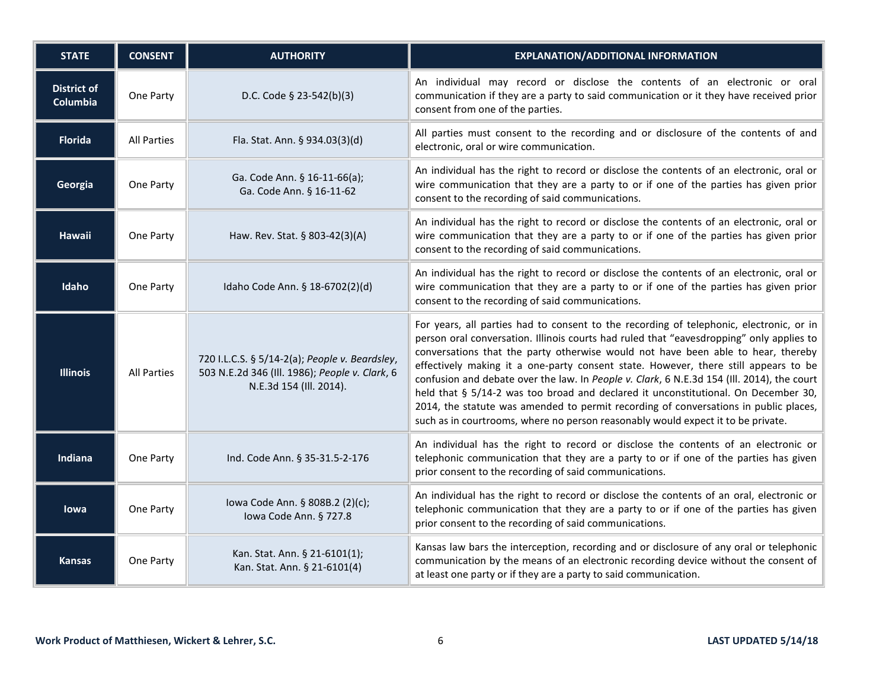| <b>STATE</b>                          | <b>CONSENT</b>     | <b>AUTHORITY</b>                                                                                                            | <b>EXPLANATION/ADDITIONAL INFORMATION</b>                                                                                                                                                                                                                                                                                                                                                                                                                                                                                                                                                                                                                                                                                      |
|---------------------------------------|--------------------|-----------------------------------------------------------------------------------------------------------------------------|--------------------------------------------------------------------------------------------------------------------------------------------------------------------------------------------------------------------------------------------------------------------------------------------------------------------------------------------------------------------------------------------------------------------------------------------------------------------------------------------------------------------------------------------------------------------------------------------------------------------------------------------------------------------------------------------------------------------------------|
| <b>District of</b><br><b>Columbia</b> | One Party          | D.C. Code § 23-542(b)(3)                                                                                                    | An individual may record or disclose the contents of an electronic or oral<br>communication if they are a party to said communication or it they have received prior<br>consent from one of the parties.                                                                                                                                                                                                                                                                                                                                                                                                                                                                                                                       |
| <b>Florida</b>                        | <b>All Parties</b> | Fla. Stat. Ann. § 934.03(3)(d)                                                                                              | All parties must consent to the recording and or disclosure of the contents of and<br>electronic, oral or wire communication.                                                                                                                                                                                                                                                                                                                                                                                                                                                                                                                                                                                                  |
| Georgia                               | One Party          | Ga. Code Ann. § 16-11-66(a);<br>Ga. Code Ann. § 16-11-62                                                                    | An individual has the right to record or disclose the contents of an electronic, oral or<br>wire communication that they are a party to or if one of the parties has given prior<br>consent to the recording of said communications.                                                                                                                                                                                                                                                                                                                                                                                                                                                                                           |
| Hawaii                                | One Party          | Haw. Rev. Stat. § 803-42(3)(A)                                                                                              | An individual has the right to record or disclose the contents of an electronic, oral or<br>wire communication that they are a party to or if one of the parties has given prior<br>consent to the recording of said communications.                                                                                                                                                                                                                                                                                                                                                                                                                                                                                           |
| Idaho                                 | One Party          | Idaho Code Ann. § 18-6702(2)(d)                                                                                             | An individual has the right to record or disclose the contents of an electronic, oral or<br>wire communication that they are a party to or if one of the parties has given prior<br>consent to the recording of said communications.                                                                                                                                                                                                                                                                                                                                                                                                                                                                                           |
| <b>Illinois</b>                       | <b>All Parties</b> | 720 I.L.C.S. § 5/14-2(a); People v. Beardsley,<br>503 N.E.2d 346 (Ill. 1986); People v. Clark, 6<br>N.E.3d 154 (Ill. 2014). | For years, all parties had to consent to the recording of telephonic, electronic, or in<br>person oral conversation. Illinois courts had ruled that "eavesdropping" only applies to<br>conversations that the party otherwise would not have been able to hear, thereby<br>effectively making it a one-party consent state. However, there still appears to be<br>confusion and debate over the law. In People v. Clark, 6 N.E.3d 154 (Ill. 2014), the court<br>held that § 5/14-2 was too broad and declared it unconstitutional. On December 30,<br>2014, the statute was amended to permit recording of conversations in public places,<br>such as in courtrooms, where no person reasonably would expect it to be private. |
| Indiana                               | One Party          | Ind. Code Ann. § 35-31.5-2-176                                                                                              | An individual has the right to record or disclose the contents of an electronic or<br>telephonic communication that they are a party to or if one of the parties has given<br>prior consent to the recording of said communications.                                                                                                                                                                                                                                                                                                                                                                                                                                                                                           |
| lowa                                  | One Party          | lowa Code Ann. § 808B.2 (2)(c);<br>Iowa Code Ann. § 727.8                                                                   | An individual has the right to record or disclose the contents of an oral, electronic or<br>telephonic communication that they are a party to or if one of the parties has given<br>prior consent to the recording of said communications.                                                                                                                                                                                                                                                                                                                                                                                                                                                                                     |
| <b>Kansas</b>                         | One Party          | Kan. Stat. Ann. § 21-6101(1);<br>Kan. Stat. Ann. § 21-6101(4)                                                               | Kansas law bars the interception, recording and or disclosure of any oral or telephonic<br>communication by the means of an electronic recording device without the consent of<br>at least one party or if they are a party to said communication.                                                                                                                                                                                                                                                                                                                                                                                                                                                                             |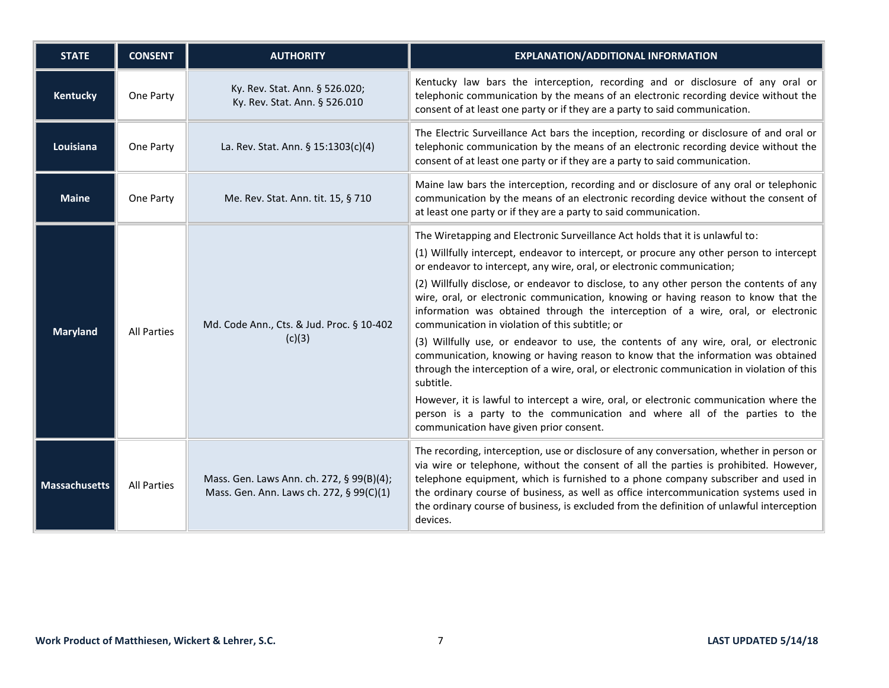| <b>STATE</b>         | <b>CONSENT</b>     | <b>AUTHORITY</b>                                                                      | <b>EXPLANATION/ADDITIONAL INFORMATION</b>                                                                                                                                                                                                                                                                                                                                                                                                                                                                                                                                                                                                                                                                                                                                                                                                                                                                                                                                                                                                                                               |
|----------------------|--------------------|---------------------------------------------------------------------------------------|-----------------------------------------------------------------------------------------------------------------------------------------------------------------------------------------------------------------------------------------------------------------------------------------------------------------------------------------------------------------------------------------------------------------------------------------------------------------------------------------------------------------------------------------------------------------------------------------------------------------------------------------------------------------------------------------------------------------------------------------------------------------------------------------------------------------------------------------------------------------------------------------------------------------------------------------------------------------------------------------------------------------------------------------------------------------------------------------|
| Kentucky             | One Party          | Ky. Rev. Stat. Ann. § 526.020;<br>Ky. Rev. Stat. Ann. § 526.010                       | Kentucky law bars the interception, recording and or disclosure of any oral or<br>telephonic communication by the means of an electronic recording device without the<br>consent of at least one party or if they are a party to said communication.                                                                                                                                                                                                                                                                                                                                                                                                                                                                                                                                                                                                                                                                                                                                                                                                                                    |
| Louisiana            | One Party          | La. Rev. Stat. Ann. $\S$ 15:1303(c)(4)                                                | The Electric Surveillance Act bars the inception, recording or disclosure of and oral or<br>telephonic communication by the means of an electronic recording device without the<br>consent of at least one party or if they are a party to said communication.                                                                                                                                                                                                                                                                                                                                                                                                                                                                                                                                                                                                                                                                                                                                                                                                                          |
| <b>Maine</b>         | One Party          | Me. Rev. Stat. Ann. tit. 15, § 710                                                    | Maine law bars the interception, recording and or disclosure of any oral or telephonic<br>communication by the means of an electronic recording device without the consent of<br>at least one party or if they are a party to said communication.                                                                                                                                                                                                                                                                                                                                                                                                                                                                                                                                                                                                                                                                                                                                                                                                                                       |
| <b>Maryland</b>      | <b>All Parties</b> | Md. Code Ann., Cts. & Jud. Proc. § 10-402<br>(c)(3)                                   | The Wiretapping and Electronic Surveillance Act holds that it is unlawful to:<br>(1) Willfully intercept, endeavor to intercept, or procure any other person to intercept<br>or endeavor to intercept, any wire, oral, or electronic communication;<br>(2) Willfully disclose, or endeavor to disclose, to any other person the contents of any<br>wire, oral, or electronic communication, knowing or having reason to know that the<br>information was obtained through the interception of a wire, oral, or electronic<br>communication in violation of this subtitle; or<br>(3) Willfully use, or endeavor to use, the contents of any wire, oral, or electronic<br>communication, knowing or having reason to know that the information was obtained<br>through the interception of a wire, oral, or electronic communication in violation of this<br>subtitle.<br>However, it is lawful to intercept a wire, oral, or electronic communication where the<br>person is a party to the communication and where all of the parties to the<br>communication have given prior consent. |
| <b>Massachusetts</b> | <b>All Parties</b> | Mass. Gen. Laws Ann. ch. 272, § 99(B)(4);<br>Mass. Gen. Ann. Laws ch. 272, § 99(C)(1) | The recording, interception, use or disclosure of any conversation, whether in person or<br>via wire or telephone, without the consent of all the parties is prohibited. However,<br>telephone equipment, which is furnished to a phone company subscriber and used in<br>the ordinary course of business, as well as office intercommunication systems used in<br>the ordinary course of business, is excluded from the definition of unlawful interception<br>devices.                                                                                                                                                                                                                                                                                                                                                                                                                                                                                                                                                                                                                |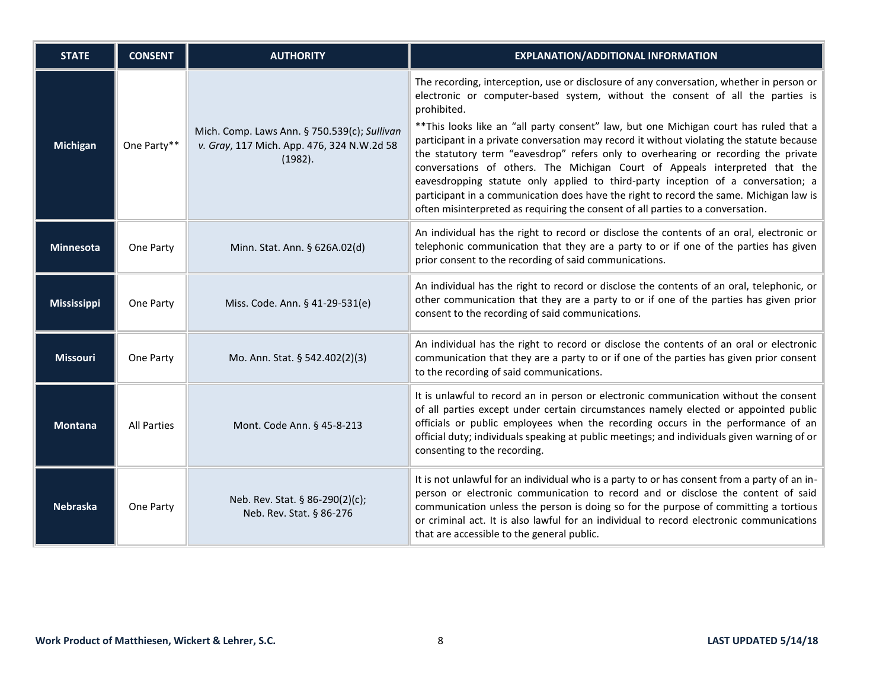| <b>STATE</b>       | <b>CONSENT</b>     | <b>AUTHORITY</b>                                                                                      | <b>EXPLANATION/ADDITIONAL INFORMATION</b>                                                                                                                                                                                                                                                                                                                                                                                                                                                                                                                                                                                                                                                                                                                                                                              |
|--------------------|--------------------|-------------------------------------------------------------------------------------------------------|------------------------------------------------------------------------------------------------------------------------------------------------------------------------------------------------------------------------------------------------------------------------------------------------------------------------------------------------------------------------------------------------------------------------------------------------------------------------------------------------------------------------------------------------------------------------------------------------------------------------------------------------------------------------------------------------------------------------------------------------------------------------------------------------------------------------|
| Michigan           | One Party**        | Mich. Comp. Laws Ann. § 750.539(c); Sullivan<br>v. Gray, 117 Mich. App. 476, 324 N.W.2d 58<br>(1982). | The recording, interception, use or disclosure of any conversation, whether in person or<br>electronic or computer-based system, without the consent of all the parties is<br>prohibited.<br>** This looks like an "all party consent" law, but one Michigan court has ruled that a<br>participant in a private conversation may record it without violating the statute because<br>the statutory term "eavesdrop" refers only to overhearing or recording the private<br>conversations of others. The Michigan Court of Appeals interpreted that the<br>eavesdropping statute only applied to third-party inception of a conversation; a<br>participant in a communication does have the right to record the same. Michigan law is<br>often misinterpreted as requiring the consent of all parties to a conversation. |
| Minnesota          | One Party          | Minn. Stat. Ann. § 626A.02(d)                                                                         | An individual has the right to record or disclose the contents of an oral, electronic or<br>telephonic communication that they are a party to or if one of the parties has given<br>prior consent to the recording of said communications.                                                                                                                                                                                                                                                                                                                                                                                                                                                                                                                                                                             |
| <b>Mississippi</b> | One Party          | Miss. Code. Ann. § 41-29-531(e)                                                                       | An individual has the right to record or disclose the contents of an oral, telephonic, or<br>other communication that they are a party to or if one of the parties has given prior<br>consent to the recording of said communications.                                                                                                                                                                                                                                                                                                                                                                                                                                                                                                                                                                                 |
| <b>Missouri</b>    | One Party          | Mo. Ann. Stat. § 542.402(2)(3)                                                                        | An individual has the right to record or disclose the contents of an oral or electronic<br>communication that they are a party to or if one of the parties has given prior consent<br>to the recording of said communications.                                                                                                                                                                                                                                                                                                                                                                                                                                                                                                                                                                                         |
| <b>Montana</b>     | <b>All Parties</b> | Mont. Code Ann. § 45-8-213                                                                            | It is unlawful to record an in person or electronic communication without the consent<br>of all parties except under certain circumstances namely elected or appointed public<br>officials or public employees when the recording occurs in the performance of an<br>official duty; individuals speaking at public meetings; and individuals given warning of or<br>consenting to the recording.                                                                                                                                                                                                                                                                                                                                                                                                                       |
| <b>Nebraska</b>    | One Party          | Neb. Rev. Stat. § 86-290(2)(c);<br>Neb. Rev. Stat. § 86-276                                           | It is not unlawful for an individual who is a party to or has consent from a party of an in-<br>person or electronic communication to record and or disclose the content of said<br>communication unless the person is doing so for the purpose of committing a tortious<br>or criminal act. It is also lawful for an individual to record electronic communications<br>that are accessible to the general public.                                                                                                                                                                                                                                                                                                                                                                                                     |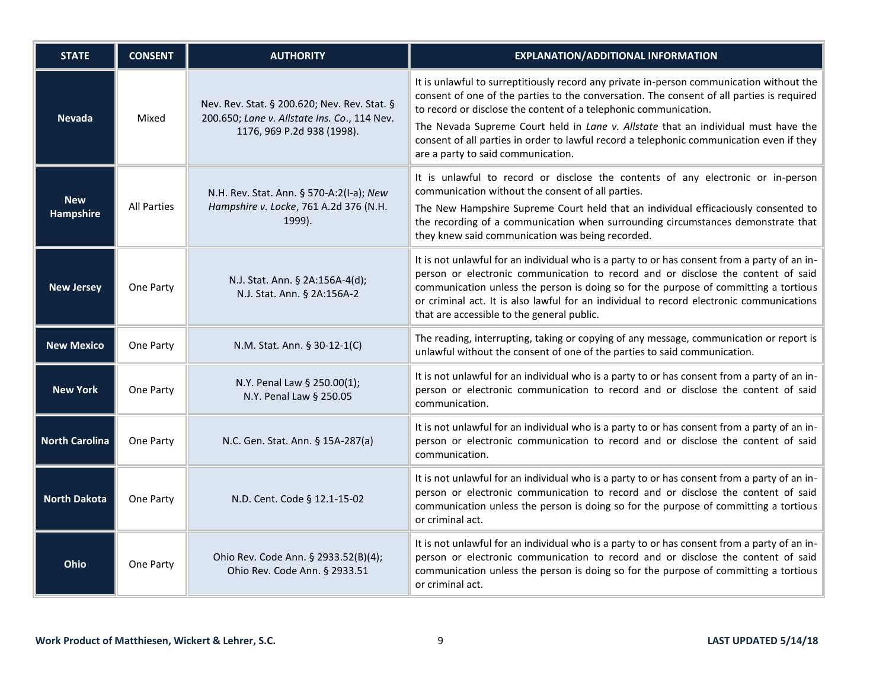| <b>STATE</b>                   | <b>CONSENT</b>     | <b>AUTHORITY</b>                                                                                                           | <b>EXPLANATION/ADDITIONAL INFORMATION</b>                                                                                                                                                                                                                                                                                                                                                                                                                                         |
|--------------------------------|--------------------|----------------------------------------------------------------------------------------------------------------------------|-----------------------------------------------------------------------------------------------------------------------------------------------------------------------------------------------------------------------------------------------------------------------------------------------------------------------------------------------------------------------------------------------------------------------------------------------------------------------------------|
| <b>Nevada</b>                  | Mixed              | Nev. Rev. Stat. § 200.620; Nev. Rev. Stat. §<br>200.650; Lane v. Allstate Ins. Co., 114 Nev.<br>1176, 969 P.2d 938 (1998). | It is unlawful to surreptitiously record any private in-person communication without the<br>consent of one of the parties to the conversation. The consent of all parties is required<br>to record or disclose the content of a telephonic communication.<br>The Nevada Supreme Court held in Lane v. Allstate that an individual must have the<br>consent of all parties in order to lawful record a telephonic communication even if they<br>are a party to said communication. |
| <b>New</b><br><b>Hampshire</b> | <b>All Parties</b> | N.H. Rev. Stat. Ann. § 570-A:2(I-a); New<br>Hampshire v. Locke, 761 A.2d 376 (N.H.<br>1999).                               | It is unlawful to record or disclose the contents of any electronic or in-person<br>communication without the consent of all parties.<br>The New Hampshire Supreme Court held that an individual efficaciously consented to<br>the recording of a communication when surrounding circumstances demonstrate that<br>they knew said communication was being recorded.                                                                                                               |
| <b>New Jersey</b>              | One Party          | N.J. Stat. Ann. § 2A:156A-4(d);<br>N.J. Stat. Ann. § 2A:156A-2                                                             | It is not unlawful for an individual who is a party to or has consent from a party of an in-<br>person or electronic communication to record and or disclose the content of said<br>communication unless the person is doing so for the purpose of committing a tortious<br>or criminal act. It is also lawful for an individual to record electronic communications<br>that are accessible to the general public.                                                                |
| <b>New Mexico</b>              | One Party          | N.M. Stat. Ann. § 30-12-1(C)                                                                                               | The reading, interrupting, taking or copying of any message, communication or report is<br>unlawful without the consent of one of the parties to said communication.                                                                                                                                                                                                                                                                                                              |
| <b>New York</b>                | One Party          | N.Y. Penal Law § 250.00(1);<br>N.Y. Penal Law § 250.05                                                                     | It is not unlawful for an individual who is a party to or has consent from a party of an in-<br>person or electronic communication to record and or disclose the content of said<br>communication.                                                                                                                                                                                                                                                                                |
| <b>North Carolina</b>          | One Party          | N.C. Gen. Stat. Ann. § 15A-287(a)                                                                                          | It is not unlawful for an individual who is a party to or has consent from a party of an in-<br>person or electronic communication to record and or disclose the content of said<br>communication.                                                                                                                                                                                                                                                                                |
| <b>North Dakota</b>            | One Party          | N.D. Cent. Code § 12.1-15-02                                                                                               | It is not unlawful for an individual who is a party to or has consent from a party of an in-<br>person or electronic communication to record and or disclose the content of said<br>communication unless the person is doing so for the purpose of committing a tortious<br>or criminal act.                                                                                                                                                                                      |
| Ohio                           | One Party          | Ohio Rev. Code Ann. § 2933.52(B)(4);<br>Ohio Rev. Code Ann. § 2933.51                                                      | It is not unlawful for an individual who is a party to or has consent from a party of an in-<br>person or electronic communication to record and or disclose the content of said<br>communication unless the person is doing so for the purpose of committing a tortious<br>or criminal act.                                                                                                                                                                                      |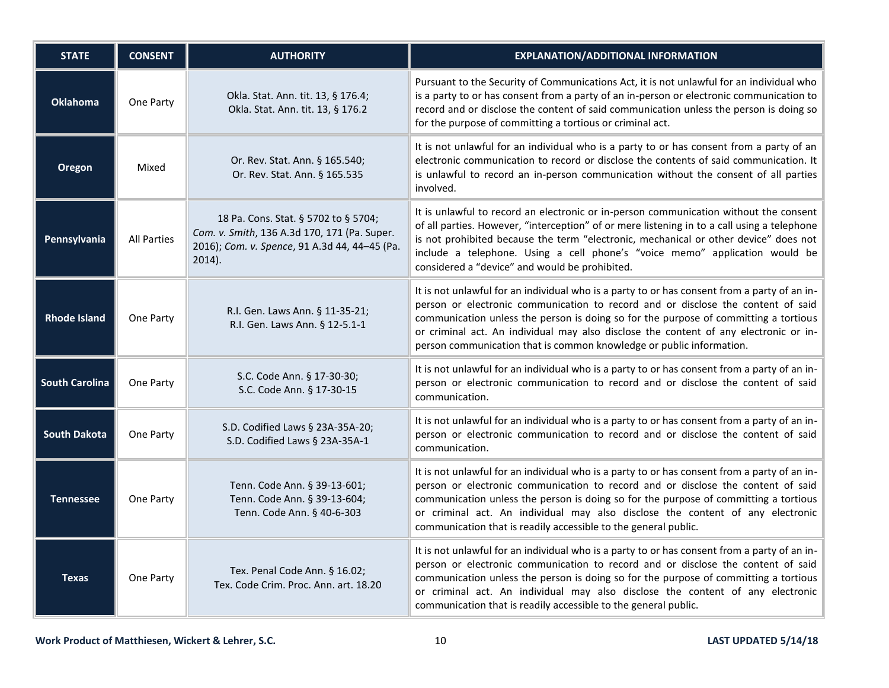| <b>STATE</b>          | <b>CONSENT</b>     | <b>AUTHORITY</b>                                                                                                                                   | <b>EXPLANATION/ADDITIONAL INFORMATION</b>                                                                                                                                                                                                                                                                                                                                                                                                 |
|-----------------------|--------------------|----------------------------------------------------------------------------------------------------------------------------------------------------|-------------------------------------------------------------------------------------------------------------------------------------------------------------------------------------------------------------------------------------------------------------------------------------------------------------------------------------------------------------------------------------------------------------------------------------------|
| <b>Oklahoma</b>       | One Party          | Okla. Stat. Ann. tit. 13, § 176.4;<br>Okla. Stat. Ann. tit. 13, § 176.2                                                                            | Pursuant to the Security of Communications Act, it is not unlawful for an individual who<br>is a party to or has consent from a party of an in-person or electronic communication to<br>record and or disclose the content of said communication unless the person is doing so<br>for the purpose of committing a tortious or criminal act.                                                                                               |
| Oregon                | Mixed              | Or. Rev. Stat. Ann. § 165.540;<br>Or. Rev. Stat. Ann. § 165.535                                                                                    | It is not unlawful for an individual who is a party to or has consent from a party of an<br>electronic communication to record or disclose the contents of said communication. It<br>is unlawful to record an in-person communication without the consent of all parties<br>involved.                                                                                                                                                     |
| Pennsylvania          | <b>All Parties</b> | 18 Pa. Cons. Stat. § 5702 to § 5704;<br>Com. v. Smith, 136 A.3d 170, 171 (Pa. Super.<br>2016); Com. v. Spence, 91 A.3d 44, 44-45 (Pa.<br>$2014$ ). | It is unlawful to record an electronic or in-person communication without the consent<br>of all parties. However, "interception" of or mere listening in to a call using a telephone<br>is not prohibited because the term "electronic, mechanical or other device" does not<br>include a telephone. Using a cell phone's "voice memo" application would be<br>considered a "device" and would be prohibited.                             |
| <b>Rhode Island</b>   | One Party          | R.I. Gen. Laws Ann. § 11-35-21;<br>R.I. Gen. Laws Ann. § 12-5.1-1                                                                                  | It is not unlawful for an individual who is a party to or has consent from a party of an in-<br>person or electronic communication to record and or disclose the content of said<br>communication unless the person is doing so for the purpose of committing a tortious<br>or criminal act. An individual may also disclose the content of any electronic or in-<br>person communication that is common knowledge or public information. |
| <b>South Carolina</b> | One Party          | S.C. Code Ann. § 17-30-30;<br>S.C. Code Ann. § 17-30-15                                                                                            | It is not unlawful for an individual who is a party to or has consent from a party of an in-<br>person or electronic communication to record and or disclose the content of said<br>communication.                                                                                                                                                                                                                                        |
| <b>South Dakota</b>   | One Party          | S.D. Codified Laws § 23A-35A-20;<br>S.D. Codified Laws § 23A-35A-1                                                                                 | It is not unlawful for an individual who is a party to or has consent from a party of an in-<br>person or electronic communication to record and or disclose the content of said<br>communication.                                                                                                                                                                                                                                        |
| <b>Tennessee</b>      | One Party          | Tenn. Code Ann. § 39-13-601;<br>Tenn. Code Ann. § 39-13-604;<br>Tenn. Code Ann. § 40-6-303                                                         | It is not unlawful for an individual who is a party to or has consent from a party of an in-<br>person or electronic communication to record and or disclose the content of said<br>communication unless the person is doing so for the purpose of committing a tortious<br>or criminal act. An individual may also disclose the content of any electronic<br>communication that is readily accessible to the general public.             |
| <b>Texas</b>          | One Party          | Tex. Penal Code Ann. § 16.02;<br>Tex. Code Crim. Proc. Ann. art. 18.20                                                                             | It is not unlawful for an individual who is a party to or has consent from a party of an in-<br>person or electronic communication to record and or disclose the content of said<br>communication unless the person is doing so for the purpose of committing a tortious<br>or criminal act. An individual may also disclose the content of any electronic<br>communication that is readily accessible to the general public.             |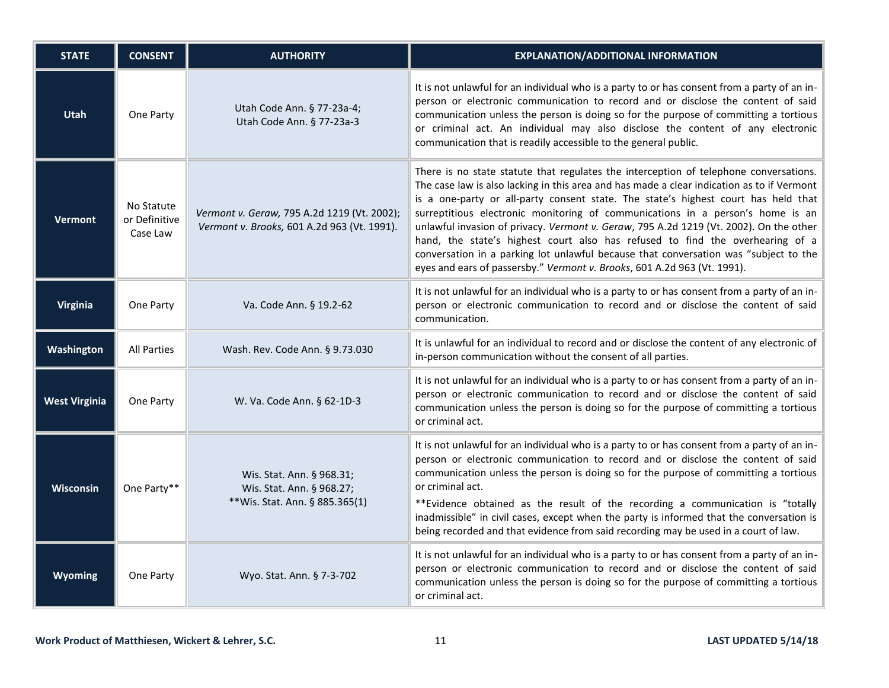| <b>STATE</b>         | <b>CONSENT</b>                          | <b>AUTHORITY</b>                                                                           | <b>EXPLANATION/ADDITIONAL INFORMATION</b>                                                                                                                                                                                                                                                                                                                                                                                                                                                                                                                                                                                                                                                                  |
|----------------------|-----------------------------------------|--------------------------------------------------------------------------------------------|------------------------------------------------------------------------------------------------------------------------------------------------------------------------------------------------------------------------------------------------------------------------------------------------------------------------------------------------------------------------------------------------------------------------------------------------------------------------------------------------------------------------------------------------------------------------------------------------------------------------------------------------------------------------------------------------------------|
| <b>Utah</b>          | One Party                               | Utah Code Ann. § 77-23a-4;<br>Utah Code Ann. § 77-23a-3                                    | It is not unlawful for an individual who is a party to or has consent from a party of an in-<br>person or electronic communication to record and or disclose the content of said<br>communication unless the person is doing so for the purpose of committing a tortious<br>or criminal act. An individual may also disclose the content of any electronic<br>communication that is readily accessible to the general public.                                                                                                                                                                                                                                                                              |
| <b>Vermont</b>       | No Statute<br>or Definitive<br>Case Law | Vermont v. Geraw, 795 A.2d 1219 (Vt. 2002);<br>Vermont v. Brooks, 601 A.2d 963 (Vt. 1991). | There is no state statute that regulates the interception of telephone conversations.<br>The case law is also lacking in this area and has made a clear indication as to if Vermont<br>is a one-party or all-party consent state. The state's highest court has held that<br>surreptitious electronic monitoring of communications in a person's home is an<br>unlawful invasion of privacy. Vermont v. Geraw, 795 A.2d 1219 (Vt. 2002). On the other<br>hand, the state's highest court also has refused to find the overhearing of a<br>conversation in a parking lot unlawful because that conversation was "subject to the<br>eyes and ears of passersby." Vermont v. Brooks, 601 A.2d 963 (Vt. 1991). |
| <b>Virginia</b>      | One Party                               | Va. Code Ann. § 19.2-62                                                                    | It is not unlawful for an individual who is a party to or has consent from a party of an in-<br>person or electronic communication to record and or disclose the content of said<br>communication.                                                                                                                                                                                                                                                                                                                                                                                                                                                                                                         |
| Washington           | <b>All Parties</b>                      | Wash. Rev. Code Ann. § 9.73.030                                                            | It is unlawful for an individual to record and or disclose the content of any electronic of<br>in-person communication without the consent of all parties.                                                                                                                                                                                                                                                                                                                                                                                                                                                                                                                                                 |
| <b>West Virginia</b> | One Party                               | W. Va. Code Ann. § 62-1D-3                                                                 | It is not unlawful for an individual who is a party to or has consent from a party of an in-<br>person or electronic communication to record and or disclose the content of said<br>communication unless the person is doing so for the purpose of committing a tortious<br>or criminal act.                                                                                                                                                                                                                                                                                                                                                                                                               |
| <b>Wisconsin</b>     | One Party**                             | Wis. Stat. Ann. § 968.31;<br>Wis. Stat. Ann. § 968.27;<br>**Wis. Stat. Ann. § 885.365(1)   | It is not unlawful for an individual who is a party to or has consent from a party of an in-<br>person or electronic communication to record and or disclose the content of said<br>communication unless the person is doing so for the purpose of committing a tortious<br>or criminal act.<br>**Evidence obtained as the result of the recording a communication is "totally<br>inadmissible" in civil cases, except when the party is informed that the conversation is<br>being recorded and that evidence from said recording may be used in a court of law.                                                                                                                                          |
| Wyoming              | One Party                               | Wyo. Stat. Ann. § 7-3-702                                                                  | It is not unlawful for an individual who is a party to or has consent from a party of an in-<br>person or electronic communication to record and or disclose the content of said<br>communication unless the person is doing so for the purpose of committing a tortious<br>or criminal act.                                                                                                                                                                                                                                                                                                                                                                                                               |